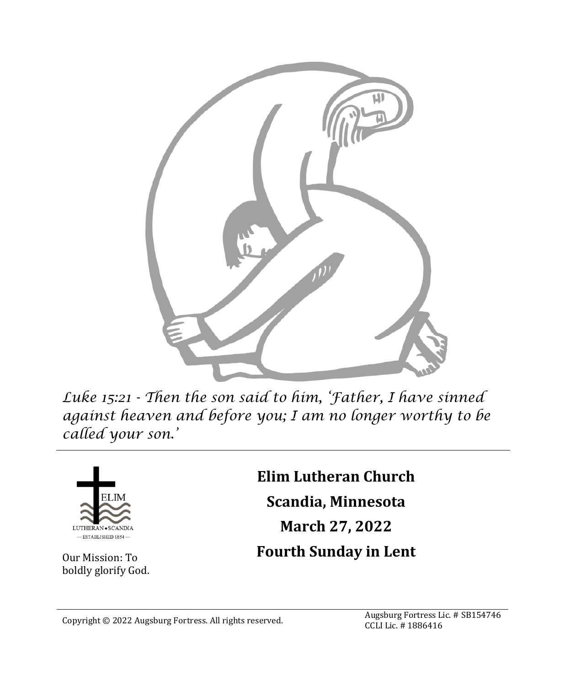

*Luke 15:21 - Then the son said to him, 'Father, I have sinned against heaven and before you; I am no longer worthy to be called your son.'*



Our Mission: To boldly glorify God. **Elim Lutheran Church Scandia, Minnesota March 27, 2022 Fourth Sunday in Lent**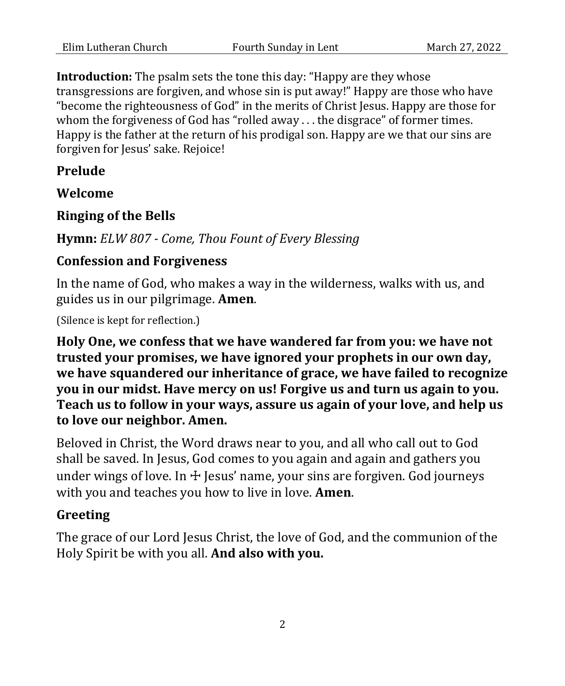**Introduction:** The psalm sets the tone this day: "Happy are they whose transgressions are forgiven, and whose sin is put away!" Happy are those who have "become the righteousness of God" in the merits of Christ Jesus. Happy are those for whom the forgiveness of God has "rolled away . . . the disgrace" of former times. Happy is the father at the return of his prodigal son. Happy are we that our sins are forgiven for Jesus' sake. Rejoice!

#### **Prelude**

**Welcome**

#### **Ringing of the Bells**

**Hymn:** *ELW 807 - Come, Thou Fount of Every Blessing*

#### **Confession and Forgiveness**

In the name of God, who makes a way in the wilderness, walks with us, and guides us in our pilgrimage. **Amen**.

(Silence is kept for reflection.)

**Holy One, we confess that we have wandered far from you: we have not trusted your promises, we have ignored your prophets in our own day, we have squandered our inheritance of grace, we have failed to recognize you in our midst. Have mercy on us! Forgive us and turn us again to you. Teach us to follow in your ways, assure us again of your love, and help us to love our neighbor. Amen.**

Beloved in Christ, the Word draws near to you, and all who call out to God shall be saved. In Jesus, God comes to you again and again and gathers you under wings of love. In  $\pm$  Jesus' name, your sins are forgiven. God journeys with you and teaches you how to live in love. **Amen**.

#### **Greeting**

The grace of our Lord Jesus Christ, the love of God, and the communion of the Holy Spirit be with you all. **And also with you.**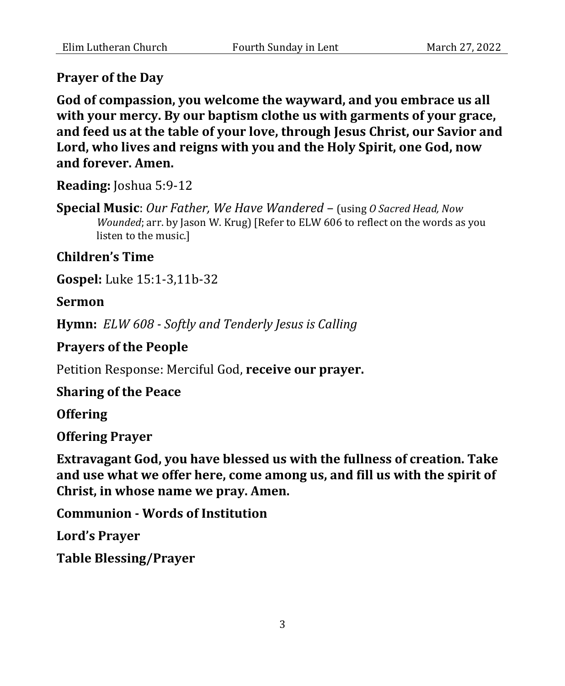#### **Prayer of the Day**

**God of compassion, you welcome the wayward, and you embrace us all with your mercy. By our baptism clothe us with garments of your grace, and feed us at the table of your love, through Jesus Christ, our Savior and Lord, who lives and reigns with you and the Holy Spirit, one God, now and forever. Amen.**

**Reading:** Joshua 5:9-12

**Special Music**: *Our Father, We Have Wandered* – (using *O Sacred Head, Now Wounded*; arr. by Jason W. Krug) [Refer to ELW 606 to reflect on the words as you listen to the music.]

#### **Children's Time**

**Gospel:** Luke 15:1-3,11b-32

#### **Sermon**

**Hymn:** *ELW 608 - Softly and Tenderly Jesus is Calling*

#### **Prayers of the People**

Petition Response: Merciful God, **receive our prayer.**

#### **Sharing of the Peace**

**Offering**

#### **Offering Prayer**

**Extravagant God, you have blessed us with the fullness of creation. Take and use what we offer here, come among us, and fill us with the spirit of Christ, in whose name we pray. Amen.**

**Communion - Words of Institution**

**Lord's Prayer**

**Table Blessing/Prayer**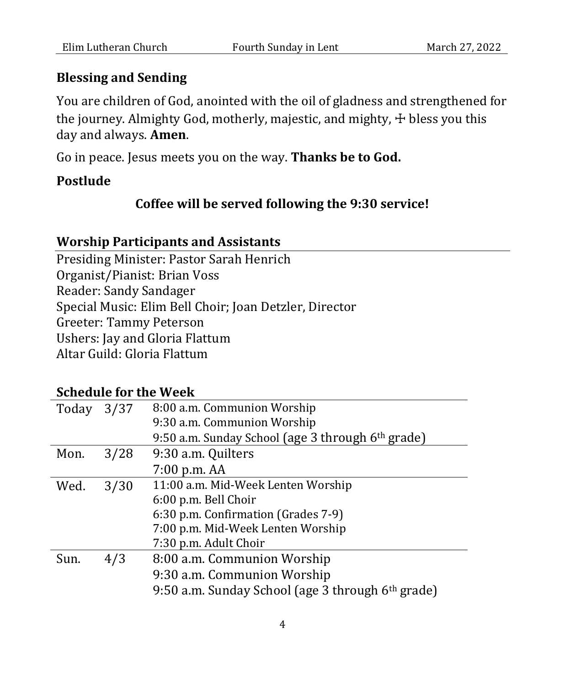## **Blessing and Sending**

You are children of God, anointed with the oil of gladness and strengthened for the journey. Almighty God, motherly, majestic, and mighty,  $\pm$  bless you this day and always. **Amen**.

Go in peace. Jesus meets you on the way. **Thanks be to God.**

## **Postlude**

## **Coffee will be served following the 9:30 service!**

## **Worship Participants and Assistants**

Presiding Minister: Pastor Sarah Henrich Organist/Pianist: Brian Voss Reader: Sandy Sandager Special Music: Elim Bell Choir; Joan Detzler, Director Greeter: Tammy Peterson Ushers: Jay and Gloria Flattum Altar Guild: Gloria Flattum

| 9:50 a.m. Sunday School (age 3 through 6 <sup>th</sup> grade) |
|---------------------------------------------------------------|

## **Schedule for the Week**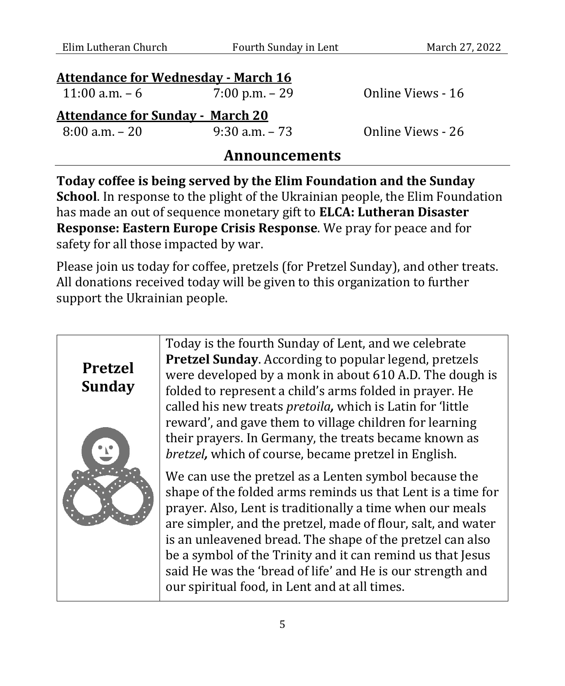| Elim Lutheran Church                       | Fourth Sunday in Lent | March 27, 2022    |
|--------------------------------------------|-----------------------|-------------------|
| <b>Attendance for Wednesday - March 16</b> |                       |                   |
| 11:00 a.m. $-6$                            | $7:00$ p.m. $-29$     | Online Views - 16 |
| <b>Attendance for Sunday - March 20</b>    |                       |                   |
| $8:00$ a.m. $-20$                          | $9:30$ a.m. $-73$     | Online Views - 26 |
|                                            |                       |                   |

## **Announcements**

**Today coffee is being served by the Elim Foundation and the Sunday School**. In response to the plight of the Ukrainian people, the Elim Foundation has made an out of sequence monetary gift to **ELCA: Lutheran Disaster Response: Eastern Europe Crisis Response**. We pray for peace and for safety for all those impacted by war.

Please join us today for coffee, pretzels (for Pretzel Sunday), and other treats. All donations received today will be given to this organization to further support the Ukrainian people.

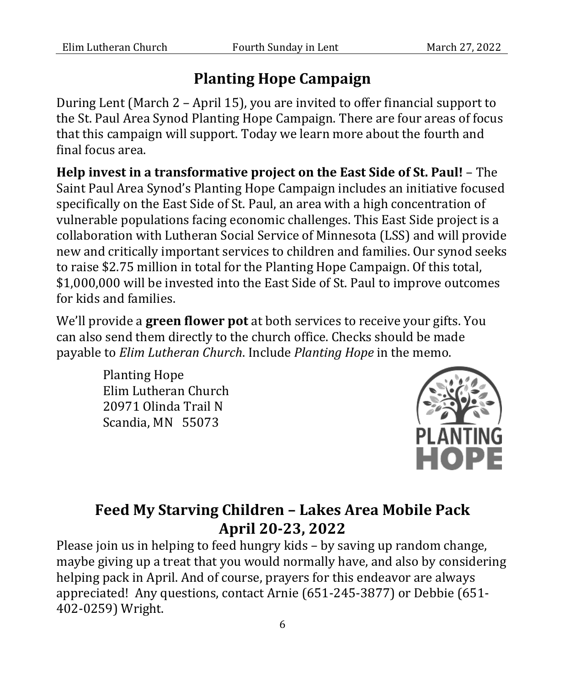## **Planting Hope Campaign**

During Lent (March 2 – April 15), you are invited to offer financial support to the St. Paul Area Synod Planting Hope Campaign. There are four areas of focus that this campaign will support. Today we learn more about the fourth and final focus area.

**Help invest in a transformative project on the East Side of St. Paul!** – The Saint Paul Area Synod's Planting Hope Campaign includes an initiative focused specifically on the East Side of St. Paul, an area with a high concentration of vulnerable populations facing economic challenges. This East Side project is a collaboration with Lutheran Social Service of Minnesota (LSS) and will provide new and critically important services to children and families. Our synod seeks to raise \$2.75 million in total for the Planting Hope Campaign. Of this total, \$1,000,000 will be invested into the East Side of St. Paul to improve outcomes for kids and families.

We'll provide a **green flower pot** at both services to receive your gifts. You can also send them directly to the church office. Checks should be made payable to *Elim Lutheran Church*. Include *Planting Hope* in the memo.

> Planting Hope Elim Lutheran Church 20971 Olinda Trail N Scandia, MN 55073



# **Feed My Starving Children – Lakes Area Mobile Pack April 20-23, 2022**

Please join us in helping to feed hungry kids – by saving up random change, maybe giving up a treat that you would normally have, and also by considering helping pack in April. And of course, prayers for this endeavor are always appreciated! Any questions, contact Arnie (651-245-3877) or Debbie (651- 402-0259) Wright.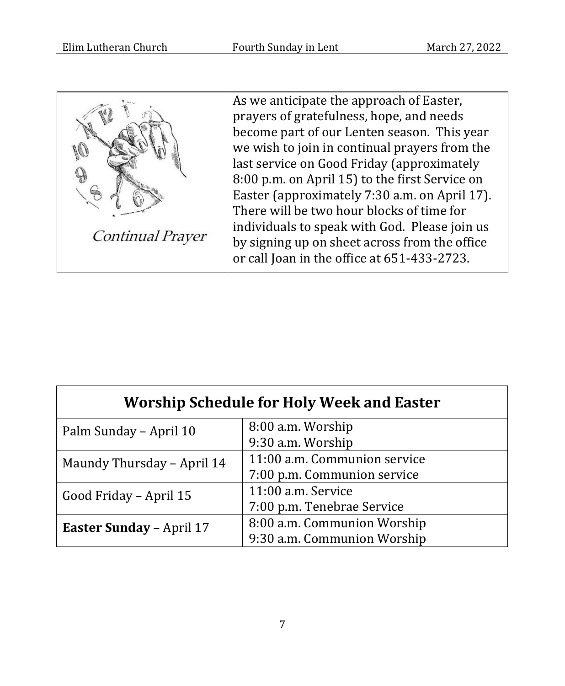

As we anticipate the approach of Easter, prayers of gratefulness, hope, and needs become part of our Lenten season. This year we wish to join in continual prayers from the last service on Good Friday (approximately 8:00 p.m. on April 15) to the first Service on Easter (approximately 7:30 a.m. on April 17). There will be two hour blocks of time for individuals to speak with God. Please join us by signing up on sheet across from the office or call Joan in the office at 651-433-2723.

| <b>Worship Schedule for Holy Week and Easter</b> |                              |  |  |
|--------------------------------------------------|------------------------------|--|--|
| Palm Sunday - April 10                           | 8:00 a.m. Worship            |  |  |
|                                                  | 9:30 a.m. Worship            |  |  |
| Maundy Thursday - April 14                       | 11:00 a.m. Communion service |  |  |
|                                                  | 7:00 p.m. Communion service  |  |  |
| Good Friday – April 15                           | 11:00 a.m. Service           |  |  |
|                                                  | 7:00 p.m. Tenebrae Service   |  |  |
| <b>Easter Sunday - April 17</b>                  | 8:00 a.m. Communion Worship  |  |  |
|                                                  | 9:30 a.m. Communion Worship  |  |  |

7